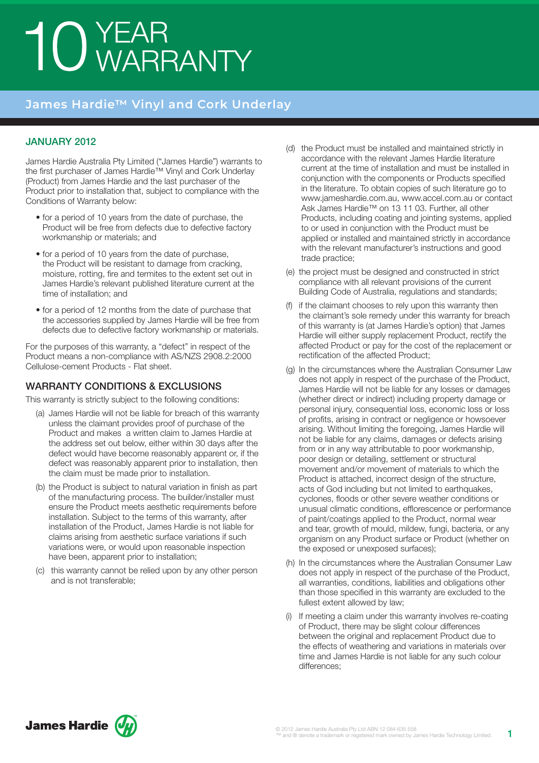# 10 YEAR<br>10 WARRANTY

## **James Hardie™ Vinyl and Cork Underlay**

#### January 2012

James Hardie Australia Pty Limited ("James Hardie") warrants to the first purchaser of James Hardie™ Vinyl and Cork Underlay (Product) from James Hardie and the last purchaser of the Product prior to installation that, subject to compliance with the Conditions of Warranty below:

- for a period of 10 years from the date of purchase, the Product will be free from defects due to defective factory workmanship or materials; and
- for a period of 10 years from the date of purchase, the Product will be resistant to damage from cracking, moisture, rotting, fire and termites to the extent set out in James Hardie's relevant published literature current at the time of installation; and
- for a period of 12 months from the date of purchase that the accessories supplied by James Hardie will be free from defects due to defective factory workmanship or materials.

For the purposes of this warranty, a "defect" in respect of the Product means a non-compliance with AS/NZS 2908.2:2000 Cellulose-cement Products - Flat sheet.

#### WARRANTY CONDITIONS & EXCLUSIONS

This warranty is strictly subject to the following conditions:

- (a) James Hardie will not be liable for breach of this warranty unless the claimant provides proof of purchase of the Product and makes a written claim to James Hardie at the address set out below, either within 30 days after the defect would have become reasonably apparent or, if the defect was reasonably apparent prior to installation, then the claim must be made prior to installation.
- (b) the Product is subject to natural variation in finish as part of the manufacturing process. The builder/installer must ensure the Product meets aesthetic requirements before installation. Subject to the terms of this warranty, after installation of the Product, James Hardie is not liable for claims arising from aesthetic surface variations if such variations were, or would upon reasonable inspection have been, apparent prior to installation;
- (c) this warranty cannot be relied upon by any other person and is not transferable;
- (d) the Product must be installed and maintained strictly in accordance with the relevant James Hardie literature current at the time of installation and must be installed in conjunction with the components or Products specified in the literature. To obtain copies of such literature go to www.jameshardie.com.au, www.accel.com.au or contact Ask James Hardie™ on 13 11 03. Further, all other Products, including coating and jointing systems, applied to or used in conjunction with the Product must be applied or installed and maintained strictly in accordance with the relevant manufacturer's instructions and good trade practice;
- (e) the project must be designed and constructed in strict compliance with all relevant provisions of the current Building Code of Australia, regulations and standards;
- (f) if the claimant chooses to rely upon this warranty then the claimant's sole remedy under this warranty for breach of this warranty is (at James Hardie's option) that James Hardie will either supply replacement Product, rectify the affected Product or pay for the cost of the replacement or rectification of the affected Product;
- (g) In the circumstances where the Australian Consumer Law does not apply in respect of the purchase of the Product, James Hardie will not be liable for any losses or damages (whether direct or indirect) including property damage or personal injury, consequential loss, economic loss or loss of profits, arising in contract or negligence or howsoever arising. Without limiting the foregoing, James Hardie will not be liable for any claims, damages or defects arising from or in any way attributable to poor workmanship, poor design or detailing, settlement or structural movement and/or movement of materials to which the Product is attached, incorrect design of the structure, acts of God including but not limited to earthquakes, cyclones, floods or other severe weather conditions or unusual climatic conditions, efflorescence or performance of paint/coatings applied to the Product, normal wear and tear, growth of mould, mildew, fungi, bacteria, or any organism on any Product surface or Product (whether on the exposed or unexposed surfaces);
- (h) In the circumstances where the Australian Consumer Law does not apply in respect of the purchase of the Product, all warranties, conditions, liabilities and obligations other than those specified in this warranty are excluded to the fullest extent allowed by law;
- (i) If meeting a claim under this warranty involves re-coating of Product, there may be slight colour differences between the original and replacement Product due to the effects of weathering and variations in materials over time and James Hardie is not liable for any such colour differences;